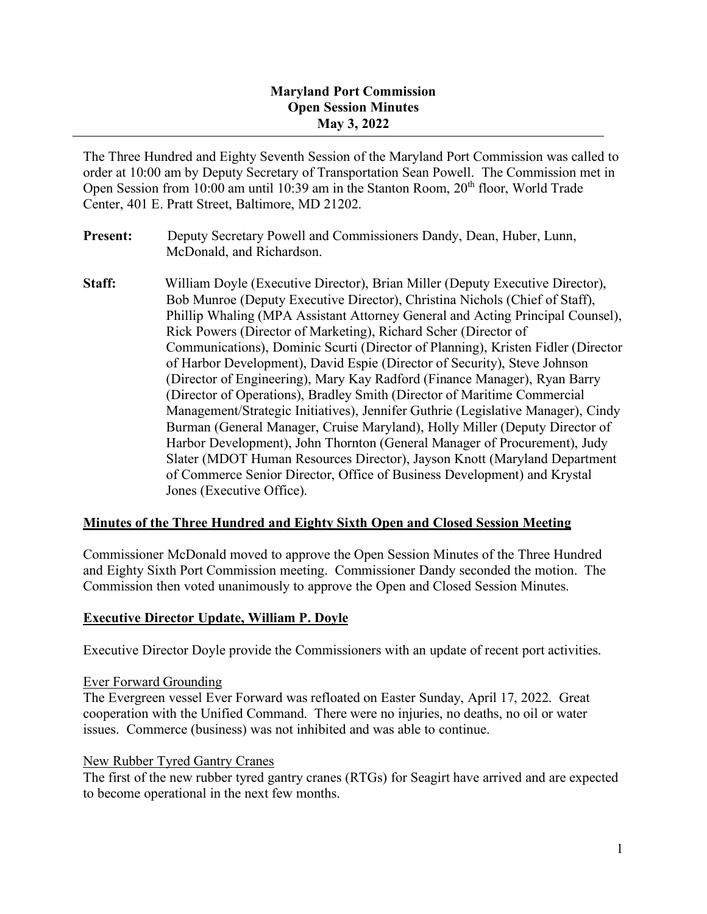#### **Maryland Port Commission Open Session Minutes May 3, 2022**

The Three Hundred and Eighty Seventh Session of the Maryland Port Commission was called to order at 10:00 am by Deputy Secretary of Transportation Sean Powell. The Commission met in Open Session from 10:00 am until 10:39 am in the Stanton Room,  $20<sup>th</sup>$  floor, World Trade Center, 401 E. Pratt Street, Baltimore, MD 21202.

- **Present:** Deputy Secretary Powell and Commissioners Dandy, Dean, Huber, Lunn, McDonald, and Richardson.
- **Staff:** William Doyle (Executive Director), Brian Miller (Deputy Executive Director), Bob Munroe (Deputy Executive Director), Christina Nichols (Chief of Staff), Phillip Whaling (MPA Assistant Attorney General and Acting Principal Counsel), Rick Powers (Director of Marketing), Richard Scher (Director of Communications), Dominic Scurti (Director of Planning), Kristen Fidler (Director of Harbor Development), David Espie (Director of Security), Steve Johnson (Director of Engineering), Mary Kay Radford (Finance Manager), Ryan Barry (Director of Operations), Bradley Smith (Director of Maritime Commercial Management/Strategic Initiatives), Jennifer Guthrie (Legislative Manager), Cindy Burman (General Manager, Cruise Maryland), Holly Miller (Deputy Director of Harbor Development), John Thornton (General Manager of Procurement), Judy Slater (MDOT Human Resources Director), Jayson Knott (Maryland Department of Commerce Senior Director, Office of Business Development) and Krystal Jones (Executive Office).

## **Minutes of the Three Hundred and Eighty Sixth Open and Closed Session Meeting**

Commissioner McDonald moved to approve the Open Session Minutes of the Three Hundred and Eighty Sixth Port Commission meeting. Commissioner Dandy seconded the motion. The Commission then voted unanimously to approve the Open and Closed Session Minutes.

## **Executive Director Update, William P. Doyle**

Executive Director Doyle provide the Commissioners with an update of recent port activities.

#### Ever Forward Grounding

The Evergreen vessel Ever Forward was refloated on Easter Sunday, April 17, 2022. Great cooperation with the Unified Command. There were no injuries, no deaths, no oil or water issues. Commerce (business) was not inhibited and was able to continue.

#### New Rubber Tyred Gantry Cranes

The first of the new rubber tyred gantry cranes (RTGs) for Seagirt have arrived and are expected to become operational in the next few months.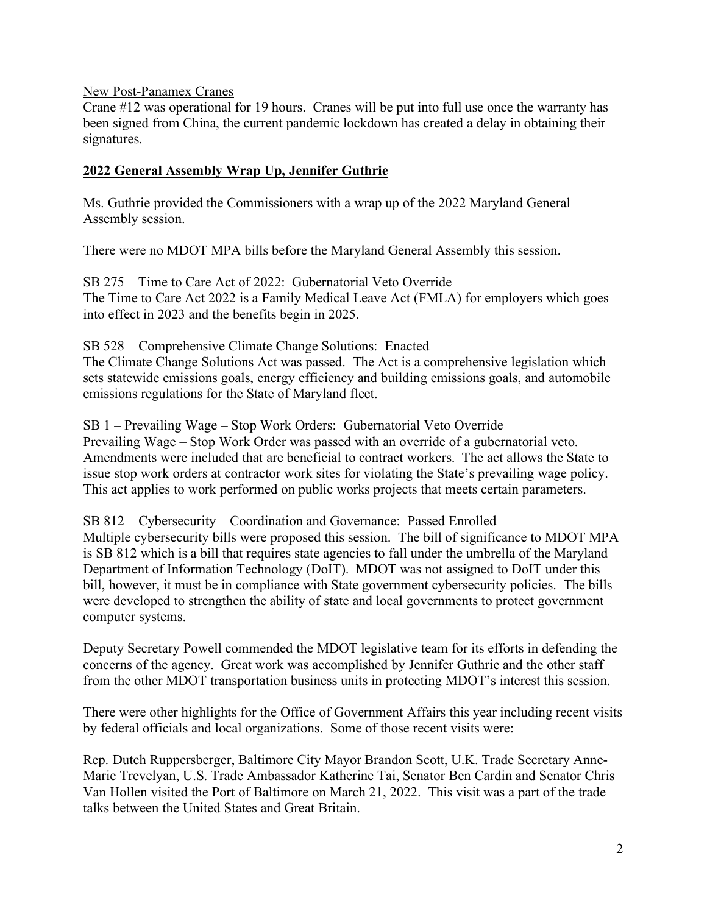New Post-Panamex Cranes

Crane #12 was operational for 19 hours. Cranes will be put into full use once the warranty has been signed from China, the current pandemic lockdown has created a delay in obtaining their signatures.

#### **2022 General Assembly Wrap Up, Jennifer Guthrie**

Ms. Guthrie provided the Commissioners with a wrap up of the 2022 Maryland General Assembly session.

There were no MDOT MPA bills before the Maryland General Assembly this session.

SB 275 – Time to Care Act of 2022: Gubernatorial Veto Override The Time to Care Act 2022 is a Family Medical Leave Act (FMLA) for employers which goes into effect in 2023 and the benefits begin in 2025.

SB 528 – Comprehensive Climate Change Solutions: Enacted The Climate Change Solutions Act was passed. The Act is a comprehensive legislation which sets statewide emissions goals, energy efficiency and building emissions goals, and automobile emissions regulations for the State of Maryland fleet.

SB 1 – Prevailing Wage – Stop Work Orders: Gubernatorial Veto Override Prevailing Wage – Stop Work Order was passed with an override of a gubernatorial veto. Amendments were included that are beneficial to contract workers. The act allows the State to issue stop work orders at contractor work sites for violating the State's prevailing wage policy. This act applies to work performed on public works projects that meets certain parameters.

SB 812 – Cybersecurity – Coordination and Governance: Passed Enrolled Multiple cybersecurity bills were proposed this session. The bill of significance to MDOT MPA is SB 812 which is a bill that requires state agencies to fall under the umbrella of the Maryland Department of Information Technology (DoIT). MDOT was not assigned to DoIT under this bill, however, it must be in compliance with State government cybersecurity policies. The bills were developed to strengthen the ability of state and local governments to protect government computer systems.

Deputy Secretary Powell commended the MDOT legislative team for its efforts in defending the concerns of the agency. Great work was accomplished by Jennifer Guthrie and the other staff from the other MDOT transportation business units in protecting MDOT's interest this session.

There were other highlights for the Office of Government Affairs this year including recent visits by federal officials and local organizations. Some of those recent visits were:

Rep. Dutch Ruppersberger, Baltimore City Mayor Brandon Scott, U.K. Trade Secretary Anne-Marie Trevelyan, U.S. Trade Ambassador Katherine Tai, Senator Ben Cardin and Senator Chris Van Hollen visited the Port of Baltimore on March 21, 2022. This visit was a part of the trade talks between the United States and Great Britain.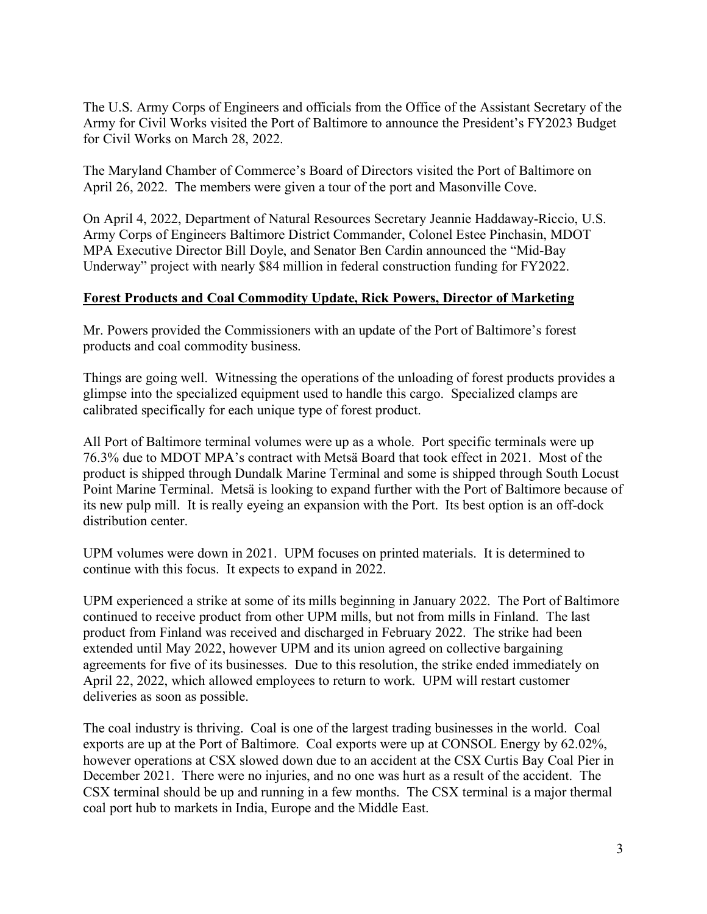The U.S. Army Corps of Engineers and officials from the Office of the Assistant Secretary of the Army for Civil Works visited the Port of Baltimore to announce the President's FY2023 Budget for Civil Works on March 28, 2022.

The Maryland Chamber of Commerce's Board of Directors visited the Port of Baltimore on April 26, 2022. The members were given a tour of the port and Masonville Cove.

On April 4, 2022, Department of Natural Resources Secretary Jeannie Haddaway-Riccio, U.S. Army Corps of Engineers Baltimore District Commander, Colonel Estee Pinchasin, MDOT MPA Executive Director Bill Doyle, and Senator Ben Cardin announced the "Mid-Bay Underway" project with nearly \$84 million in federal construction funding for FY2022.

## **Forest Products and Coal Commodity Update, Rick Powers, Director of Marketing**

Mr. Powers provided the Commissioners with an update of the Port of Baltimore's forest products and coal commodity business.

Things are going well. Witnessing the operations of the unloading of forest products provides a glimpse into the specialized equipment used to handle this cargo. Specialized clamps are calibrated specifically for each unique type of forest product.

All Port of Baltimore terminal volumes were up as a whole. Port specific terminals were up 76.3% due to MDOT MPA's contract with Metsä Board that took effect in 2021. Most of the product is shipped through Dundalk Marine Terminal and some is shipped through South Locust Point Marine Terminal. Metsä is looking to expand further with the Port of Baltimore because of its new pulp mill. It is really eyeing an expansion with the Port. Its best option is an off-dock distribution center.

UPM volumes were down in 2021. UPM focuses on printed materials. It is determined to continue with this focus. It expects to expand in 2022.

UPM experienced a strike at some of its mills beginning in January 2022. The Port of Baltimore continued to receive product from other UPM mills, but not from mills in Finland. The last product from Finland was received and discharged in February 2022. The strike had been extended until May 2022, however UPM and its union agreed on collective bargaining agreements for five of its businesses. Due to this resolution, the strike ended immediately on April 22, 2022, which allowed employees to return to work. UPM will restart customer deliveries as soon as possible.

The coal industry is thriving. Coal is one of the largest trading businesses in the world. Coal exports are up at the Port of Baltimore. Coal exports were up at CONSOL Energy by 62.02%, however operations at CSX slowed down due to an accident at the CSX Curtis Bay Coal Pier in December 2021. There were no injuries, and no one was hurt as a result of the accident. The CSX terminal should be up and running in a few months. The CSX terminal is a major thermal coal port hub to markets in India, Europe and the Middle East.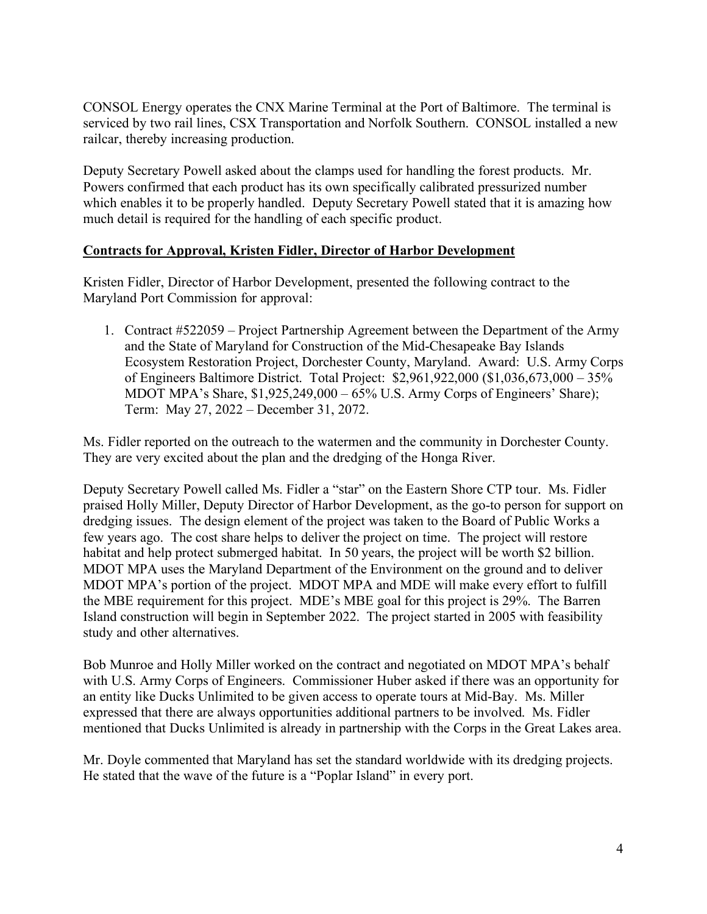CONSOL Energy operates the CNX Marine Terminal at the Port of Baltimore. The terminal is serviced by two rail lines, CSX Transportation and Norfolk Southern. CONSOL installed a new railcar, thereby increasing production.

Deputy Secretary Powell asked about the clamps used for handling the forest products. Mr. Powers confirmed that each product has its own specifically calibrated pressurized number which enables it to be properly handled. Deputy Secretary Powell stated that it is amazing how much detail is required for the handling of each specific product.

#### **Contracts for Approval, Kristen Fidler, Director of Harbor Development**

Kristen Fidler, Director of Harbor Development, presented the following contract to the Maryland Port Commission for approval:

1. Contract #522059 – Project Partnership Agreement between the Department of the Army and the State of Maryland for Construction of the Mid-Chesapeake Bay Islands Ecosystem Restoration Project, Dorchester County, Maryland. Award: U.S. Army Corps of Engineers Baltimore District. Total Project: \$2,961,922,000 (\$1,036,673,000 – 35% MDOT MPA's Share, \$1,925,249,000 – 65% U.S. Army Corps of Engineers' Share); Term: May 27, 2022 – December 31, 2072.

Ms. Fidler reported on the outreach to the watermen and the community in Dorchester County. They are very excited about the plan and the dredging of the Honga River.

Deputy Secretary Powell called Ms. Fidler a "star" on the Eastern Shore CTP tour. Ms. Fidler praised Holly Miller, Deputy Director of Harbor Development, as the go-to person for support on dredging issues. The design element of the project was taken to the Board of Public Works a few years ago. The cost share helps to deliver the project on time. The project will restore habitat and help protect submerged habitat. In 50 years, the project will be worth \$2 billion. MDOT MPA uses the Maryland Department of the Environment on the ground and to deliver MDOT MPA's portion of the project. MDOT MPA and MDE will make every effort to fulfill the MBE requirement for this project. MDE's MBE goal for this project is 29%. The Barren Island construction will begin in September 2022. The project started in 2005 with feasibility study and other alternatives.

Bob Munroe and Holly Miller worked on the contract and negotiated on MDOT MPA's behalf with U.S. Army Corps of Engineers. Commissioner Huber asked if there was an opportunity for an entity like Ducks Unlimited to be given access to operate tours at Mid-Bay. Ms. Miller expressed that there are always opportunities additional partners to be involved. Ms. Fidler mentioned that Ducks Unlimited is already in partnership with the Corps in the Great Lakes area.

Mr. Doyle commented that Maryland has set the standard worldwide with its dredging projects. He stated that the wave of the future is a "Poplar Island" in every port.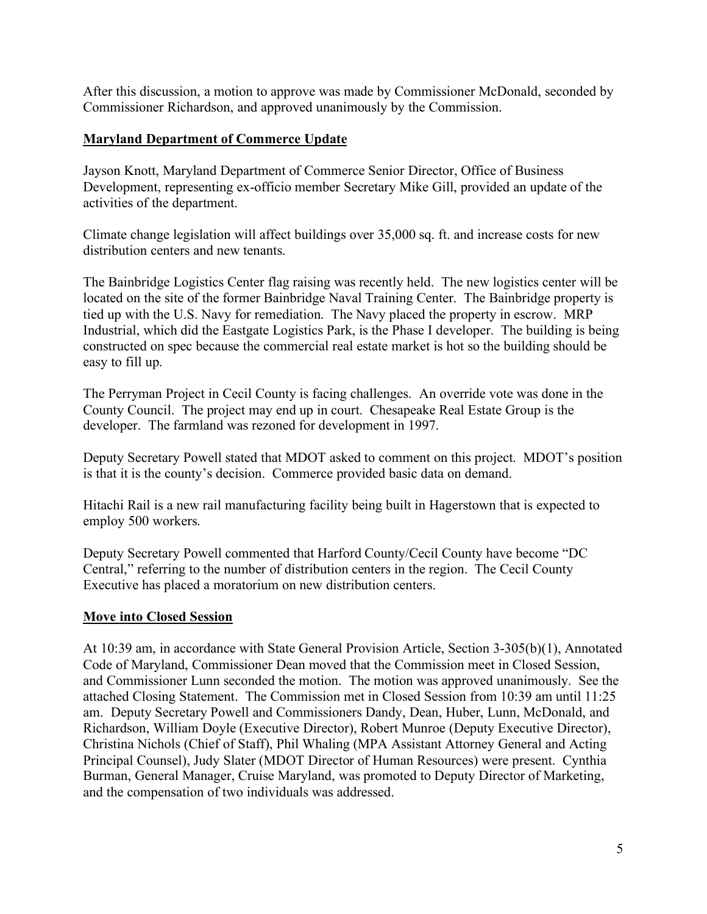After this discussion, a motion to approve was made by Commissioner McDonald, seconded by Commissioner Richardson, and approved unanimously by the Commission.

## **Maryland Department of Commerce Update**

Jayson Knott, Maryland Department of Commerce Senior Director, Office of Business Development, representing ex-officio member Secretary Mike Gill, provided an update of the activities of the department.

Climate change legislation will affect buildings over 35,000 sq. ft. and increase costs for new distribution centers and new tenants.

The Bainbridge Logistics Center flag raising was recently held. The new logistics center will be located on the site of the former Bainbridge Naval Training Center. The Bainbridge property is tied up with the U.S. Navy for remediation. The Navy placed the property in escrow. MRP Industrial, which did the Eastgate Logistics Park, is the Phase I developer. The building is being constructed on spec because the commercial real estate market is hot so the building should be easy to fill up.

The Perryman Project in Cecil County is facing challenges. An override vote was done in the County Council. The project may end up in court. Chesapeake Real Estate Group is the developer. The farmland was rezoned for development in 1997.

Deputy Secretary Powell stated that MDOT asked to comment on this project. MDOT's position is that it is the county's decision. Commerce provided basic data on demand.

Hitachi Rail is a new rail manufacturing facility being built in Hagerstown that is expected to employ 500 workers.

Deputy Secretary Powell commented that Harford County/Cecil County have become "DC Central," referring to the number of distribution centers in the region. The Cecil County Executive has placed a moratorium on new distribution centers.

#### **Move into Closed Session**

At 10:39 am, in accordance with State General Provision Article, Section 3-305(b)(1), Annotated Code of Maryland, Commissioner Dean moved that the Commission meet in Closed Session, and Commissioner Lunn seconded the motion. The motion was approved unanimously. See the attached Closing Statement. The Commission met in Closed Session from 10:39 am until 11:25 am. Deputy Secretary Powell and Commissioners Dandy, Dean, Huber, Lunn, McDonald, and Richardson, William Doyle (Executive Director), Robert Munroe (Deputy Executive Director), Christina Nichols (Chief of Staff), Phil Whaling (MPA Assistant Attorney General and Acting Principal Counsel), Judy Slater (MDOT Director of Human Resources) were present. Cynthia Burman, General Manager, Cruise Maryland, was promoted to Deputy Director of Marketing, and the compensation of two individuals was addressed.